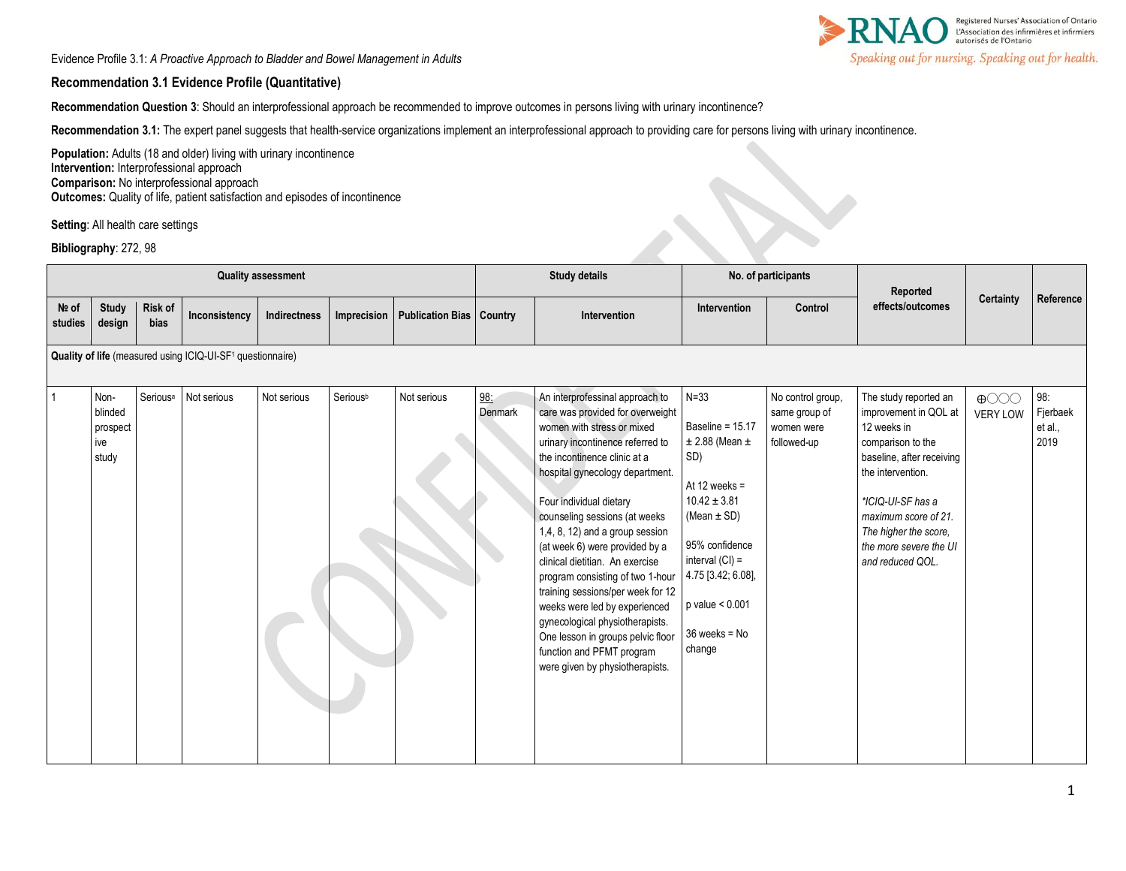Registered Nurses' Association of Ontario<br>L'Association des infirmiéres et infirmiers<br>autorisés de l'Ontario Speaking out for nursing. Speaking out for health.

Evidence Profile 3.1: *A Proactive Approach to Bladder and Bowel Management in Adults* 

#### **Recommendation 3.1 Evidence Profile (Quantitative)**

**Recommendation Question 3**: Should an interprofessional approach be recommended to improve outcomes in persons living with urinary incontinence?

**Recommendation 3.1:** The expert panel suggests that health-service organizations implement an interprofessional approach to providing care for persons living with urinary incontinence.

Population: Adults (18 and older) living with urinary incontinence **Intervention:** Interprofessional approach **Comparison:** No interprofessional approach **Outcomes:** Quality of life, patient satisfaction and episodes of incontinence

**Setting**: All health care settings

**Bibliography**: 272, 98

| <b>Quality assessment</b>                                              |                                             |                      |               |              |             |                                   | <b>Study details</b> |                                                                                                                                                                                                                                                                                                                                                                                                                                                                                                                                                                                                                                | No. of participants                                                                                                                                                                                                                    |                                                                 | Reported                                                                                                                                                                                                                                                 |                                |                                    |
|------------------------------------------------------------------------|---------------------------------------------|----------------------|---------------|--------------|-------------|-----------------------------------|----------------------|--------------------------------------------------------------------------------------------------------------------------------------------------------------------------------------------------------------------------------------------------------------------------------------------------------------------------------------------------------------------------------------------------------------------------------------------------------------------------------------------------------------------------------------------------------------------------------------------------------------------------------|----------------------------------------------------------------------------------------------------------------------------------------------------------------------------------------------------------------------------------------|-----------------------------------------------------------------|----------------------------------------------------------------------------------------------------------------------------------------------------------------------------------------------------------------------------------------------------------|--------------------------------|------------------------------------|
| Nº of<br>studies                                                       | <b>Study</b><br>design                      | Risk of<br>bias      | Inconsistency | Indirectness | Imprecision | <b>Publication Bias   Country</b> |                      | Intervention                                                                                                                                                                                                                                                                                                                                                                                                                                                                                                                                                                                                                   | Intervention                                                                                                                                                                                                                           | Control                                                         | effects/outcomes                                                                                                                                                                                                                                         | <b>Certainty</b>               | Reference                          |
| Quality of life (measured using ICIQ-UI-SF <sup>1</sup> questionnaire) |                                             |                      |               |              |             |                                   |                      |                                                                                                                                                                                                                                                                                                                                                                                                                                                                                                                                                                                                                                |                                                                                                                                                                                                                                        |                                                                 |                                                                                                                                                                                                                                                          |                                |                                    |
|                                                                        | Non-<br>blinded<br>prospect<br>ive<br>study | Serious <sup>a</sup> | Not serious   | Not serious  | Seriousb    | Not serious                       | 98:<br>Denmark       | An interprofessinal approach to<br>care was provided for overweight<br>women with stress or mixed<br>urinary incontinence referred to<br>the incontinence clinic at a<br>hospital gynecology department.<br>Four individual dietary<br>counseling sessions (at weeks<br>1,4, 8, 12) and a group session<br>(at week 6) were provided by a<br>clinical dietitian. An exercise<br>program consisting of two 1-hour<br>training sessions/per week for 12<br>weeks were led by experienced<br>gynecological physiotherapists.<br>One lesson in groups pelvic floor<br>function and PFMT program<br>were given by physiotherapists. | $N = 33$<br>Baseline = 15.17<br>$\pm$ 2.88 (Mean $\pm$<br>SD)<br>At 12 weeks $=$<br>$10.42 \pm 3.81$<br>(Mean $\pm$ SD)<br>95% confidence<br>interval $(Cl) =$<br>4.75 [3.42; 6.08],<br>$p$ value $< 0.001$<br>36 weeks = No<br>change | No control group,<br>same group of<br>women were<br>followed-up | The study reported an<br>improvement in QOL at<br>12 weeks in<br>comparison to the<br>baseline, after receiving<br>the intervention.<br>*ICIQ-UI-SF has a<br>maximum score of 21.<br>The higher the score,<br>the more severe the UI<br>and reduced QOL. | $\bigoplus$<br><b>VERY LOW</b> | 98:<br>Fjerbaek<br>et al.,<br>2019 |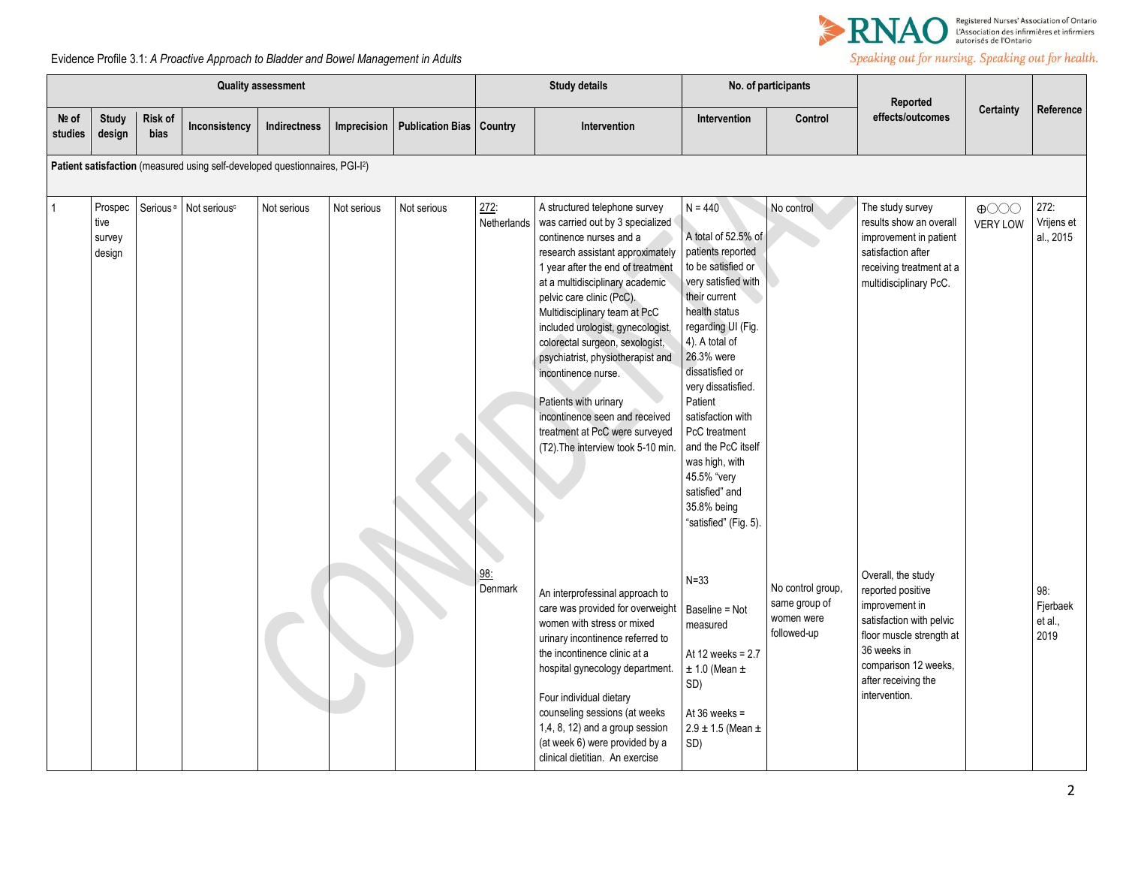

# Speaking out for nursing. Speaking out for health.

## Evidence Profile 3.1: *A Proactive Approach to Bladder and Bowel Management in Adults*

| <b>Quality assessment</b> |                                                                             |                        |                          |              |             |                                   | <b>Study details</b> |                                                                                                                                                                                                                                                                                                                                                                                                                                                                                                                                               | No. of participants                                                                                                                                                                                                                                                                                                                                                                                   |                                                                 |                                                                                                                                                                                                  |                                                      |                                    |  |
|---------------------------|-----------------------------------------------------------------------------|------------------------|--------------------------|--------------|-------------|-----------------------------------|----------------------|-----------------------------------------------------------------------------------------------------------------------------------------------------------------------------------------------------------------------------------------------------------------------------------------------------------------------------------------------------------------------------------------------------------------------------------------------------------------------------------------------------------------------------------------------|-------------------------------------------------------------------------------------------------------------------------------------------------------------------------------------------------------------------------------------------------------------------------------------------------------------------------------------------------------------------------------------------------------|-----------------------------------------------------------------|--------------------------------------------------------------------------------------------------------------------------------------------------------------------------------------------------|------------------------------------------------------|------------------------------------|--|
| Nº of<br>studies          | <b>Study</b><br>design                                                      | Risk of<br><b>bias</b> | Inconsistency            | Indirectness | Imprecision | <b>Publication Bias   Country</b> |                      | Intervention                                                                                                                                                                                                                                                                                                                                                                                                                                                                                                                                  | Intervention                                                                                                                                                                                                                                                                                                                                                                                          | Control                                                         | Reported<br>effects/outcomes                                                                                                                                                                     | <b>Certainty</b>                                     | Reference                          |  |
|                           | Patient satisfaction (measured using self-developed questionnaires, PGI-I2) |                        |                          |              |             |                                   |                      |                                                                                                                                                                                                                                                                                                                                                                                                                                                                                                                                               |                                                                                                                                                                                                                                                                                                                                                                                                       |                                                                 |                                                                                                                                                                                                  |                                                      |                                    |  |
|                           | Prospec<br>tive<br>survey<br>design                                         | Serious <sup>a</sup>   | Not serious <sup>c</sup> | Not serious  | Not serious | Not serious                       | 272:<br>Netherlands  | A structured telephone survey<br>was carried out by 3 specialized<br>continence nurses and a<br>research assistant approximately<br>1 year after the end of treatment<br>at a multidisciplinary academic<br>pelvic care clinic (PcC).<br>Multidisciplinary team at PcC<br>included urologist, gynecologist,<br>colorectal surgeon, sexologist,<br>psychiatrist, physiotherapist and<br>incontinence nurse.<br>Patients with urinary<br>incontinence seen and received<br>treatment at PcC were surveyed<br>(T2). The interview took 5-10 min. | $N = 440$<br>A total of 52.5% of<br>patients reported<br>to be satisfied or<br>very satisfied with<br>their current<br>health status<br>regarding UI (Fig.<br>4). A total of<br>26.3% were<br>dissatisfied or<br>very dissatisfied.<br>Patient<br>satisfaction with<br>PcC treatment<br>and the PcC itself<br>was high, with<br>45.5% "very<br>satisfied" and<br>35.8% being<br>"satisfied" (Fig. 5). | No control                                                      | The study survey<br>results show an overall<br>improvement in patient<br>satisfaction after<br>receiving treatment at a<br>multidisciplinary PcC.                                                | $\bigoplus$ $\bigodot$ $\bigodot$<br><b>VERY LOW</b> | 272:<br>Vrijens et<br>al., 2015    |  |
|                           |                                                                             |                        |                          |              |             |                                   | 98.<br>Denmark       | An interprofessinal approach to<br>care was provided for overweight<br>women with stress or mixed<br>urinary incontinence referred to<br>the incontinence clinic at a<br>hospital gynecology department.<br>Four individual dietary<br>counseling sessions (at weeks<br>1,4, 8, 12) and a group session<br>(at week 6) were provided by a<br>clinical dietitian. An exercise                                                                                                                                                                  | $N = 33$<br>Baseline = Not<br>measured<br>At 12 weeks = 2.7<br>$\pm$ 1.0 (Mean $\pm$<br>SD)<br>At $36$ weeks =<br>$2.9 \pm 1.5$ (Mean $\pm$<br>SD)                                                                                                                                                                                                                                                    | No control group,<br>same group of<br>women were<br>followed-up | Overall, the study<br>reported positive<br>improvement in<br>satisfaction with pelvic<br>floor muscle strength at<br>36 weeks in<br>comparison 12 weeks,<br>after receiving the<br>intervention. |                                                      | 98:<br>Fjerbaek<br>et al.,<br>2019 |  |